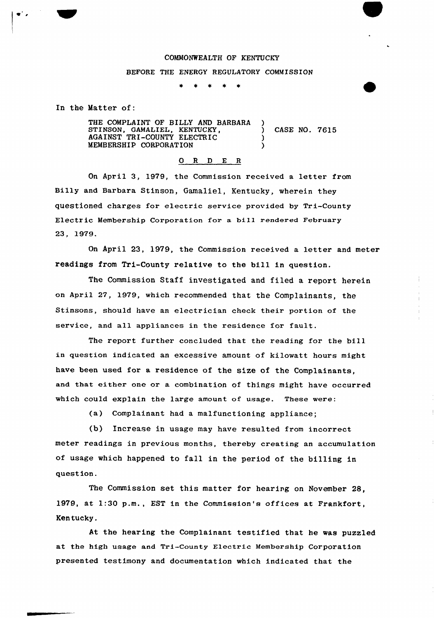## COMMONWEALTH OF KENTUCKY

## BEFORE THE ENERGY REGULATORY COMMISSION

In the Matter of:

THE COMPLAINT OF BILLY AND BARBARA STINSON, GAMALIEL, KENTUCKY,  $(1.311)(1.7615)$ AGAINST TRI-COUNTY ELECTRIC () MEMBERSHIP CORPORATION )

## 0 <sup>R</sup> <sup>D</sup> E <sup>R</sup>

On April 3, 1979, the Commission received a letter from Billy and Barbara Stinson, Gamaliel, Kentucky, wherein they questioned charges for electric service provided by Tri-County Electric Membership Corporation for a bill rendered February 23, 1979.

On April 23, 1979, the Commission received a letter and meter readings from Tri-County relative to the bill in question.

The Commission Staff investigated and filed a report herein on April 27, 1979, which recommended that the Complainants, the Stinsons, should have an electrician check their portion of the service, and all appliances in the residence for fault.

The report further concluded that the reading for the bill in question indicated an excessive amount of kilowatt hours might have been used for a residence of the size of the Complainants, and that either one or a combination of things might have occurred which could explain the large amount of usage. These were:

(a) Complainant had a malfunctioning appliance;

(b) Increase in usage may have resulted from incorrect meter readings in previous months, thereby creating an accumulation of usage which happened to fall in the period of the billing in question.

The Commission set this matter for hearirg on Novembex 28, 1979, at 1:30 p.m., EST in the Commission'e offices at Frankfort, Kentucky.

At the hearing the Complainant testified that he was puzzled at the high usage and Tri-County Electric Membership Corporation presented testimony and documentation which indicated that the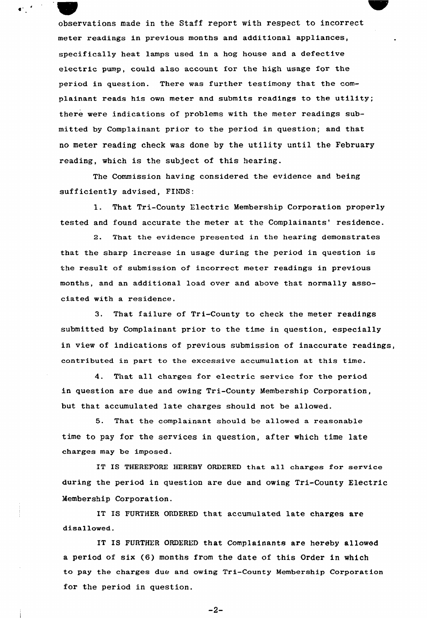observations made in the Staff report with respect to incorrect meter readings in previous months and additional appliances, specifically heat lamps used in a hog house and a defective electric pump, could also account for the high usage for the period in question. There was further testimony that the complainant reads his own meter and submits readings to the utility; there were indications of problems with the meter readings submitted by Complainant prior to the period in question; and that no meter reading check was done by the utility until the February reading, which is the subject of this hearing.

 $\mathbf{C}^{(n)}$ 

The Commission having considered the evidence and being sufficiently advised, FINDS:

1. That Tri-County Electric Membership Corporation properly tested and found accurate the meter at the Complainants' residence.

2. That the evidence presented in the hearing demonstrates that the sharp increase in usage during the period in question is the result of submission of incorrect meter readings in previous months, and an additional load over and above that normally associated with a residence.

3. That failure of Tri-County to check the meter readings submitted by Complainant prior to the time in question, especially in view of indications of previous submission of inaccurate readings, contributed in part to the excessive accumulation at this time.

4. That all charges for electric service for the period in question are due and owing Tri-County Membership Corporation, but that accumulated late charges should not be allowed.

5. That the complainant should be allowed a reasonable time to pay for the services in question, after which time late charges may be imposed.

IT IS THEREFORE HEREBY ORDERED that all charges for service during the period in question are due and owing Tri-County Electric Membership Corporation.

IT IS FURTHER ORDERED that accumulated late charges are disallowed.

IT IS FURTHER ORDERED that Complainants are hereby allowed a period of six (6) months from the date of this Order in which to pay the charges due and owing Tri-County Membership Corporation for the period in question.

 $-2-$